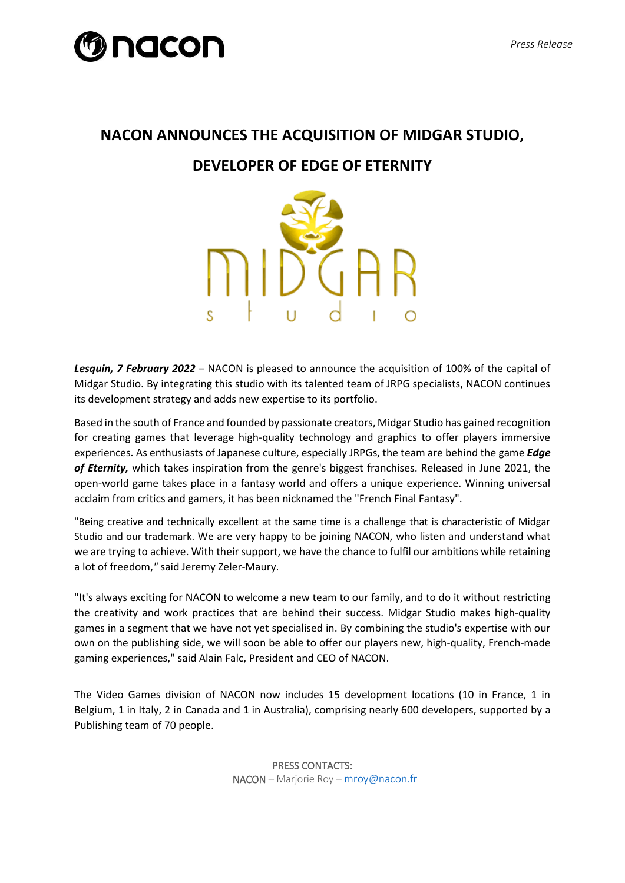## **nacon**

## **NACON ANNOUNCES THE ACQUISITION OF MIDGAR STUDIO, DEVELOPER OF EDGE OF ETERNITY**



*Lesquin, 7 February 2022* – NACON is pleased to announce the acquisition of 100% of the capital of Midgar Studio. By integrating this studio with its talented team of JRPG specialists, NACON continues its development strategy and adds new expertise to its portfolio.

Based in the south of France and founded by passionate creators, Midgar Studio has gained recognition for creating games that leverage high-quality technology and graphics to offer players immersive experiences. As enthusiasts of Japanese culture, especially JRPGs, the team are behind the game *Edge of Eternity,* which takes inspiration from the genre's biggest franchises. Released in June 2021, the open-world game takes place in a fantasy world and offers a unique experience. Winning universal acclaim from critics and gamers, it has been nicknamed the "French Final Fantasy".

"Being creative and technically excellent at the same time is a challenge that is characteristic of Midgar Studio and our trademark. We are very happy to be joining NACON, who listen and understand what we are trying to achieve. With their support, we have the chance to fulfil our ambitions while retaining a lot of freedom,*"* said Jeremy Zeler-Maury.

"It's always exciting for NACON to welcome a new team to our family, and to do it without restricting the creativity and work practices that are behind their success. Midgar Studio makes high-quality games in a segment that we have not yet specialised in. By combining the studio's expertise with our own on the publishing side, we will soon be able to offer our players new, high-quality, French-made gaming experiences," said Alain Falc, President and CEO of NACON.

The Video Games division of NACON now includes 15 development locations (10 in France, 1 in Belgium, 1 in Italy, 2 in Canada and 1 in Australia), comprising nearly 600 developers, supported by a Publishing team of 70 people.

> PRESS CONTACTS: NACON – Marjorie Roy – [mroy@nacon.fr](mailto:mroy@nacon.fr)